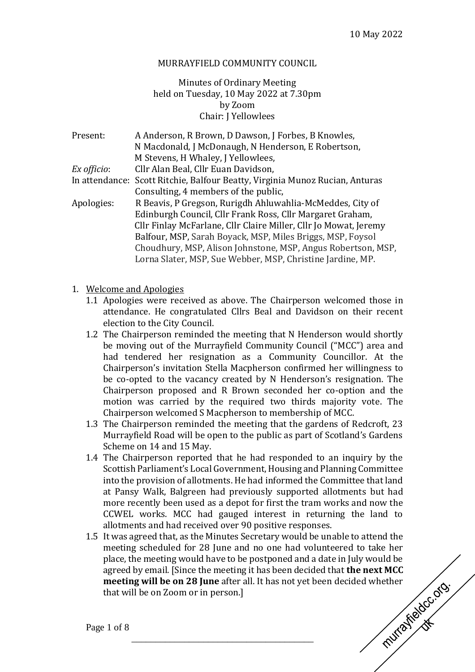#### MURRAYFIELD COMMUNITY COUNCIL

### Minutes of Ordinary Meeting held on Tuesday, 10 May 2022 at 7.30pm by Zoom Chair: J Yellowlees

| Present:    | A Anderson, R Brown, D Dawson, J Forbes, B Knowles,                          |
|-------------|------------------------------------------------------------------------------|
|             | N Macdonald, J McDonaugh, N Henderson, E Robertson,                          |
|             | M Stevens, H Whaley, J Yellowlees,                                           |
| Ex officio: | Cllr Alan Beal, Cllr Euan Davidson,                                          |
|             | In attendance: Scott Ritchie, Balfour Beatty, Virginia Munoz Rucian, Anturas |
|             | Consulting, 4 members of the public,                                         |
| Apologies:  | R Beavis, P Gregson, Rurigdh Ahluwahlia-McMeddes, City of                    |
|             | Edinburgh Council, Cllr Frank Ross, Cllr Margaret Graham,                    |
|             | Cllr Finlay McFarlane, Cllr Claire Miller, Cllr Jo Mowat, Jeremy             |
|             | Balfour, MSP, Sarah Boyack, MSP, Miles Briggs, MSP, Foysol                   |
|             | Choudhury, MSP, Alison Johnstone, MSP, Angus Robertson, MSP,                 |
|             | Lorna Slater, MSP, Sue Webber, MSP, Christine Jardine, MP.                   |

- 1. Welcome and Apologies
	- 1.1 Apologies were received as above. The Chairperson welcomed those in attendance. He congratulated Cllrs Beal and Davidson on their recent election to the City Council.
	- 1.2 The Chairperson reminded the meeting that N Henderson would shortly be moving out of the Murrayfield Community Council ("MCC") area and had tendered her resignation as a Community Councillor. At the Chairperson's invitation Stella Macpherson confirmed her willingness to be co-opted to the vacancy created by N Henderson's resignation. The Chairperson proposed and R Brown seconded her co-option and the motion was carried by the required two thirds majority vote. The Chairperson welcomed S Macpherson to membership of MCC.
	- 1.3 The Chairperson reminded the meeting that the gardens of Redcroft, 23 Murrayfield Road will be open to the public as part of Scotland's Gardens Scheme on 14 and 15 May.
	- 1.4 The Chairperson reported that he had responded to an inquiry by the Scottish Parliament's Local Government, Housing and Planning Committee into the provision of allotments. He had informed the Committee that land at Pansy Walk, Balgreen had previously supported allotments but had more recently been used as a depot for first the tram works and now the CCWEL works. MCC had gauged interest in returning the land to allotments and had received over 90 positive responses.
	- 1.5 It was agreed that, as the Minutes Secretary would be unable to attend the meeting scheduled for 28 June and no one had volunteered to take her place, the meeting would have to be postponed and a date in July would be agreed by email. [Since the meeting it has been decided that **the next MCC** meeting will be on 28 June after all. It has not yet been decided whether that will be on Zoom or in person.] **meeting will be on 28 June** after all. It has not yet been decided whether that will be on Zoom or in person.]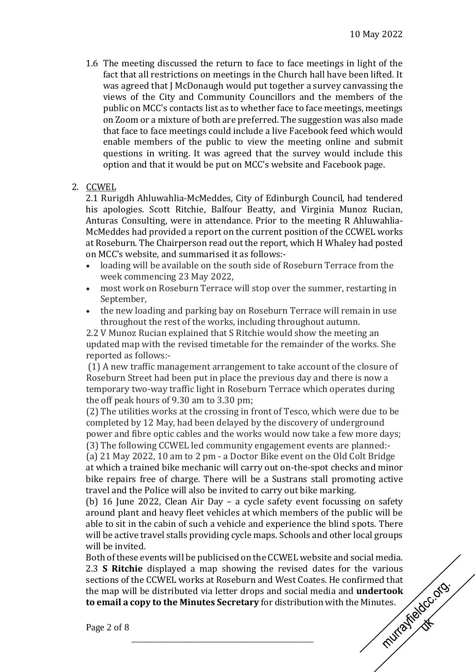- 1.6 The meeting discussed the return to face to face meetings in light of the fact that all restrictions on meetings in the Church hall have been lifted. It was agreed that J McDonaugh would put together a survey canvassing the views of the City and Community Councillors and the members of the public on MCC's contacts list as to whether face to face meetings, meetings on Zoom or a mixture of both are preferred. The suggestion was also made that face to face meetings could include a live Facebook feed which would enable members of the public to view the meeting online and submit questions in writing. It was agreed that the survey would include this option and that it would be put on MCC's website and Facebook page.
- 2. CCWEL

2.1 Rurigdh Ahluwahlia-McMeddes, City of Edinburgh Council, had tendered his apologies. Scott Ritchie, Balfour Beatty, and Virginia Munoz Rucian, Anturas Consulting, were in attendance. Prior to the meeting R Ahluwahlia-McMeddes had provided a report on the current position of the CCWEL works at Roseburn. The Chairperson read out the report, which H Whaley had posted on MCC's website, and summarised it as follows:-

- loading will be available on the south side of Roseburn Terrace from the week commencing 23 May 2022,
- most work on Roseburn Terrace will stop over the summer, restarting in September,
- the new loading and parking bay on Roseburn Terrace will remain in use throughout the rest of the works, including throughout autumn.

2.2 V Munoz Rucian explained that S Ritchie would show the meeting an updated map with the revised timetable for the remainder of the works. She reported as follows:-

(1) A new traffic management arrangement to take account of the closure of Roseburn Street had been put in place the previous day and there is now a temporary two-way traffic light in Roseburn Terrace which operates during the off peak hours of 9.30 am to 3.30 pm;

(2) The utilities works at the crossing in front of Tesco, which were due to be completed by 12 May, had been delayed by the discovery of underground power and fibre optic cables and the works would now take a few more days; (3) The following CCWEL led community engagement events are planned:-

(a) 21 May 2022, 10 am to 2 pm - a Doctor Bike event on the Old Colt Bridge at which a trained bike mechanic will carry out on-the-spot checks and minor bike repairs free of charge. There will be a Sustrans stall promoting active travel and the Police will also be invited to carry out bike marking.

(b) 16 June 2022, Clean Air Day – a cycle safety event focussing on safety around plant and heavy fleet vehicles at which members of the public will be able to sit in the cabin of such a vehicle and experience the blind spots. There will be active travel stalls providing cycle maps. Schools and other local groups will be invited.

Both of these events will be publicised on the CCWEL website and social media. 2.3 **S Ritchie** displayed a map showing the revised dates for the various sections of the CCWEL works at Roseburn and West Coates. He confirmed that the map will be distributed via letter drops and social media and **undert** sections of the CCWEL works at Roseburn and West Coates. He confirmed that the map will be distributed via letter drops and social media and **undertook to email a copy to the Minutes Secretary** for distribution with the Minutes.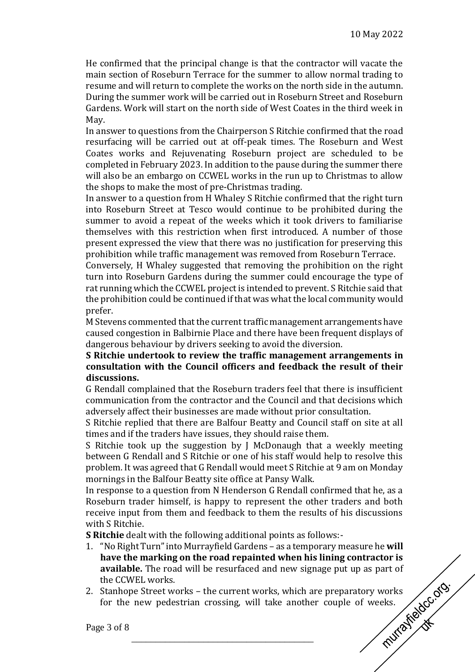He confirmed that the principal change is that the contractor will vacate the main section of Roseburn Terrace for the summer to allow normal trading to resume and will return to complete the works on the north side in the autumn. During the summer work will be carried out in Roseburn Street and Roseburn Gardens. Work will start on the north side of West Coates in the third week in May.

In answer to questions from the Chairperson S Ritchie confirmed that the road resurfacing will be carried out at off-peak times. The Roseburn and West Coates works and Rejuvenating Roseburn project are scheduled to be completed in February 2023. In addition to the pause during the summer there will also be an embargo on CCWEL works in the run up to Christmas to allow the shops to make the most of pre-Christmas trading.

In answer to a question from H Whaley S Ritchie confirmed that the right turn into Roseburn Street at Tesco would continue to be prohibited during the summer to avoid a repeat of the weeks which it took drivers to familiarise themselves with this restriction when first introduced. A number of those present expressed the view that there was no justification for preserving this prohibition while traffic management was removed from Roseburn Terrace.

Conversely, H Whaley suggested that removing the prohibition on the right turn into Roseburn Gardens during the summer could encourage the type of rat running which the CCWEL project is intended to prevent. S Ritchie said that the prohibition could be continued if that was what the local community would prefer.

M Stevens commented that the current traffic management arrangements have caused congestion in Balbirnie Place and there have been frequent displays of dangerous behaviour by drivers seeking to avoid the diversion.

**S Ritchie undertook to review the traffic management arrangements in consultation with the Council officers and feedback the result of their discussions.**

G Rendall complained that the Roseburn traders feel that there is insufficient communication from the contractor and the Council and that decisions which adversely affect their businesses are made without prior consultation.

S Ritchie replied that there are Balfour Beatty and Council staff on site at all times and if the traders have issues, they should raise them.

S Ritchie took up the suggestion by J McDonaugh that a weekly meeting between G Rendall and S Ritchie or one of his staff would help to resolve this problem. It was agreed that G Rendall would meet S Ritchie at 9 am on Monday mornings in the Balfour Beatty site office at Pansy Walk.

In response to a question from N Henderson G Rendall confirmed that he, as a Roseburn trader himself, is happy to represent the other traders and both receive input from them and feedback to them the results of his discussions with S Ritchie.

**S Ritchie** dealt with the following additional points as follows:-

- 1. "No Right Turn" into Murrayfield Gardens as a temporary measure he **will have the marking on the road repainted when his lining contractor is**  the CCWEL works.
- **available.** The road will be resurfaced and new signage put up as part of<br>the CCWEL works.<br>Stanhope Street works the current works, which are preparatory works<br>for the new pedestrian crossing, will take another couple o 2. Stanhope Street works – the current works, which are preparatory works for the new pedestrian crossing, will take another couple of weeks.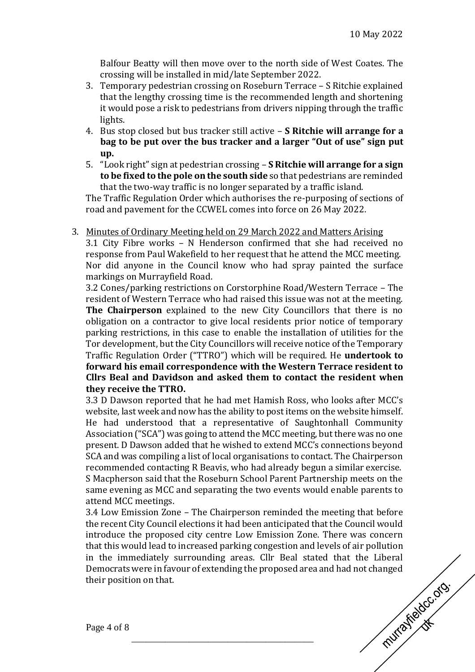Balfour Beatty will then move over to the north side of West Coates. The crossing will be installed in mid/late September 2022.

- 3. Temporary pedestrian crossing on Roseburn Terrace S Ritchie explained that the lengthy crossing time is the recommended length and shortening it would pose a risk to pedestrians from drivers nipping through the traffic lights.
- 4. Bus stop closed but bus tracker still active **S Ritchie will arrange for a bag to be put over the bus tracker and a larger "Out of use" sign put up.**
- 5. "Look right" sign at pedestrian crossing **S Ritchie will arrange for a sign to be fixed to the pole on the south side** so that pedestrians are reminded that the two-way traffic is no longer separated by a traffic island.

The Traffic Regulation Order which authorises the re-purposing of sections of road and pavement for the CCWEL comes into force on 26 May 2022.

3. Minutes of Ordinary Meeting held on 29 March 2022 and Matters Arising 3.1 City Fibre works – N Henderson confirmed that she had received no response from Paul Wakefield to her request that he attend the MCC meeting. Nor did anyone in the Council know who had spray painted the surface markings on Murrayfield Road.

3.2 Cones/parking restrictions on Corstorphine Road/Western Terrace – The resident of Western Terrace who had raised this issue was not at the meeting. **The Chairperson** explained to the new City Councillors that there is no obligation on a contractor to give local residents prior notice of temporary parking restrictions, in this case to enable the installation of utilities for the Tor development, but the City Councillors will receive notice of the Temporary Traffic Regulation Order ("TTRO") which will be required. He **undertook to forward his email correspondence with the Western Terrace resident to Cllrs Beal and Davidson and asked them to contact the resident when they receive the TTRO.**

3.3 D Dawson reported that he had met Hamish Ross, who looks after MCC's website, last week and now has the ability to post items on the website himself. He had understood that a representative of Saughtonhall Community Association ("SCA") was going to attend the MCC meeting, but there was no one present. D Dawson added that he wished to extend MCC's connections beyond SCA and was compiling a list of local organisations to contact. The Chairperson recommended contacting R Beavis, who had already begun a similar exercise. S Macpherson said that the Roseburn School Parent Partnership meets on the same evening as MCC and separating the two events would enable parents to attend MCC meetings.

3.4 Low Emission Zone – The Chairperson reminded the meeting that before the recent City Council elections it had been anticipated that the Council would introduce the proposed city centre Low Emission Zone. There was concern that this would lead to increased parking congestion and levels of air pollution in the immediately surrounding areas. Cllr Beal stated that the Liberal Democrats were in favour of extending the proposed area and had not changed<br>their position on that.<br>Page 4 of 8 their position on that.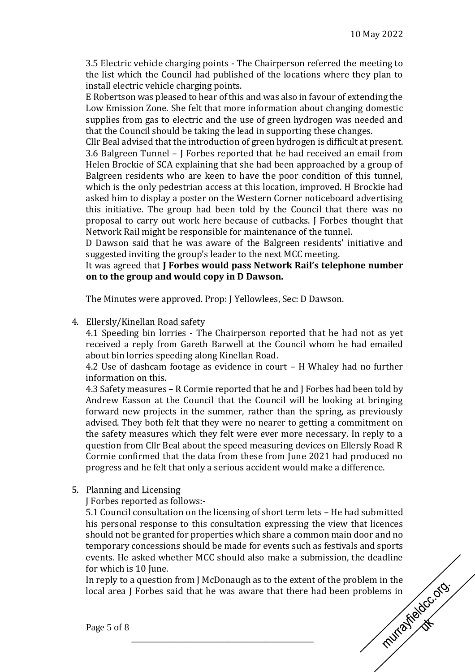3.5 Electric vehicle charging points - The Chairperson referred the meeting to the list which the Council had published of the locations where they plan to install electric vehicle charging points.

E Robertson was pleased to hear of this and was also in favour of extending the Low Emission Zone. She felt that more information about changing domestic supplies from gas to electric and the use of green hydrogen was needed and that the Council should be taking the lead in supporting these changes.

Cllr Beal advised that the introduction of green hydrogen is difficult at present. 3.6 Balgreen Tunnel – J Forbes reported that he had received an email from Helen Brockie of SCA explaining that she had been approached by a group of Balgreen residents who are keen to have the poor condition of this tunnel, which is the only pedestrian access at this location, improved. H Brockie had asked him to display a poster on the Western Corner noticeboard advertising this initiative. The group had been told by the Council that there was no proposal to carry out work here because of cutbacks. J Forbes thought that Network Rail might be responsible for maintenance of the tunnel.

D Dawson said that he was aware of the Balgreen residents' initiative and suggested inviting the group's leader to the next MCC meeting.

#### It was agreed that **J Forbes would pass Network Rail's telephone number on to the group and would copy in D Dawson.**

The Minutes were approved. Prop: J Yellowlees, Sec: D Dawson.

4. Ellersly/Kinellan Road safety

4.1 Speeding bin lorries - The Chairperson reported that he had not as yet received a reply from Gareth Barwell at the Council whom he had emailed about bin lorries speeding along Kinellan Road.

4.2 Use of dashcam footage as evidence in court – H Whaley had no further information on this.

4.3 Safety measures – R Cormie reported that he and J Forbes had been told by Andrew Easson at the Council that the Council will be looking at bringing forward new projects in the summer, rather than the spring, as previously advised. They both felt that they were no nearer to getting a commitment on the safety measures which they felt were ever more necessary. In reply to a question from Cllr Beal about the speed measuring devices on Ellersly Road R Cormie confirmed that the data from these from June 2021 had produced no progress and he felt that only a serious accident would make a difference.

## 5. Planning and Licensing

J Forbes reported as follows:-

5.1 Council consultation on the licensing of short term lets – He had submitted his personal response to this consultation expressing the view that licences should not be granted for properties which share a common main door and no temporary concessions should be made for events such as festivals and sports events. He asked whether MCC should also make a submission, the deadline for which is 10 June.

In reply to a question from J McDonaugh as to the extent of the problem in the local area J Forbes said that he was aware that there had been problems in<br>Page 5 of 8 local area I Forbes said that he was aware that there had been problems in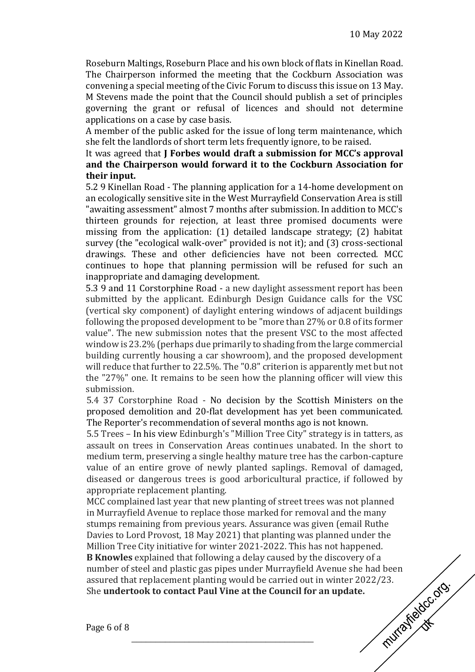Roseburn Maltings, Roseburn Place and his own block of flats in Kinellan Road. The Chairperson informed the meeting that the Cockburn Association was convening a special meeting of the Civic Forum to discuss this issue on 13 May. M Stevens made the point that the Council should publish a set of principles governing the grant or refusal of licences and should not determine applications on a case by case basis.

A member of the public asked for the issue of long term maintenance, which she felt the landlords of short term lets frequently ignore, to be raised.

#### It was agreed that **J Forbes would draft a submission for MCC's approval and the Chairperson would forward it to the Cockburn Association for their input.**

5.2 9 Kinellan Road - The planning application for a 14-home development on an ecologically sensitive site in the West Murrayfield Conservation Area is still "awaiting assessment" almost 7 months after submission. In addition to MCC's thirteen grounds for rejection, at least three promised documents were missing from the application: (1) detailed landscape strategy; (2) habitat survey (the "ecological walk-over" provided is not it); and (3) cross-sectional drawings. These and other deficiencies have not been corrected. MCC continues to hope that planning permission will be refused for such an inappropriate and damaging development.

5.3 9 and 11 Corstorphine Road - a new daylight assessment report has been submitted by the applicant. Edinburgh Design Guidance calls for the VSC (vertical sky component) of daylight entering windows of adjacent buildings following the proposed development to be "more than 27% or 0.8 of its former value". The new submission notes that the present VSC to the most affected window is 23.2% (perhaps due primarily to shading from the large commercial building currently housing a car showroom), and the proposed development will reduce that further to 22.5%. The "0.8" criterion is apparently met but not the "27%" one. It remains to be seen how the planning officer will view this submission.

5.4 37 Corstorphine Road - No decision by the Scottish Ministers on the proposed demolition and 20-flat development has yet been communicated. The Reporter's recommendation of several months ago is not known.

5.5 Trees – In his view Edinburgh's "Million Tree City" strategy is in tatters, as assault on trees in Conservation Areas continues unabated. In the short to medium term, preserving a single healthy mature tree has the carbon-capture value of an entire grove of newly planted saplings. Removal of damaged, diseased or dangerous trees is good arboricultural practice, if followed by appropriate replacement planting.

MCC complained last year that new planting of street trees was not planned in Murrayfield Avenue to replace those marked for removal and the many stumps remaining from previous years. Assurance was given (email Ruthe Davies to Lord Provost, 18 May 2021) that planting was planned under the Million Tree City initiative for winter 2021-2022. This has not happened. **B Knowles** explained that following a delay caused by the discovery of a number of steel and plastic gas pipes under Murrayfield Avenue she had been<br>assured that replacement planting would be carried out in winter 2022/23.<br>She **undertook to contact Paul Vine at the Council for an update.** assured that replacement planting would be carried out in winter 2022/23. She **undertook to contact Paul Vine at the Council for an update.**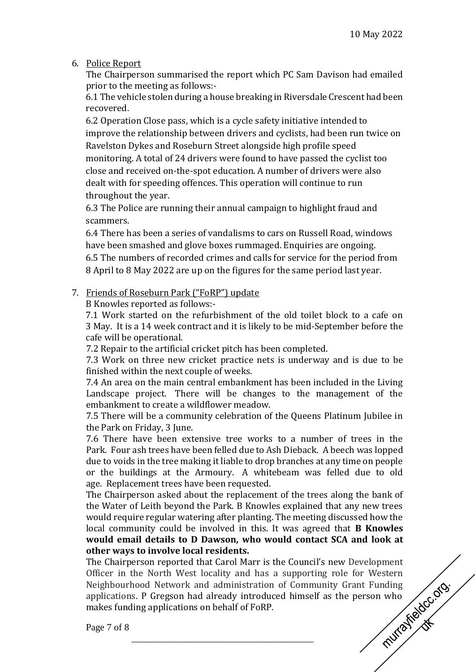6. Police Report

The Chairperson summarised the report which PC Sam Davison had emailed prior to the meeting as follows:-

6.1 The vehicle stolen during a house breaking in Riversdale Crescent had been recovered.

6.2 Operation Close pass, which is a cycle safety initiative intended to improve the relationship between drivers and cyclists, had been run twice on Ravelston Dykes and Roseburn Street alongside high profile speed monitoring. A total of 24 drivers were found to have passed the cyclist too close and received on-the-spot education. A number of drivers were also dealt with for speeding offences. This operation will continue to run throughout the year.

6.3 The Police are running their annual campaign to highlight fraud and scammers.

6.4 There has been a series of vandalisms to cars on Russell Road, windows have been smashed and glove boxes rummaged. Enquiries are ongoing. 6.5 The numbers of recorded crimes and calls for service for the period from 8 April to 8 May 2022 are up on the figures for the same period last year.

## 7. Friends of Roseburn Park ("FoRP") update

B Knowles reported as follows:-

7.1 Work started on the refurbishment of the old toilet block to a cafe on 3 May. It is a 14 week contract and it is likely to be mid-September before the cafe will be operational.

7.2 Repair to the artificial cricket pitch has been completed.

7.3 Work on three new cricket practice nets is underway and is due to be finished within the next couple of weeks.

7.4 An area on the main central embankment has been included in the Living Landscape project. There will be changes to the management of the embankment to create a wildflower meadow.

7.5 There will be a community celebration of the Queens Platinum Jubilee in the Park on Friday, 3 June.

7.6 There have been extensive tree works to a number of trees in the Park. Four ash trees have been felled due to Ash Dieback. A beech was lopped due to voids in the tree making it liable to drop branches at any time on people or the buildings at the Armoury. A whitebeam was felled due to old age. Replacement trees have been requested.

The Chairperson asked about the replacement of the trees along the bank of the Water of Leith beyond the Park. B Knowles explained that any new trees would require regular watering after planting. The meeting discussed how the local community could be involved in this. It was agreed that **B Knowles would email details to D Dawson, who would contact SCA and look at other ways to involve local residents.**

The Chairperson reported that Carol Marr is the Council's new Development<br>
Officer in the North West locality and has a supporting role for Western<br>
Neighbourhood Network and administration of Community Grant Funding<br>
appl Officer in the North West locality and has a supporting role for Western Neighbourhood Network and administration of Community Grant Funding applications. P Gregson had already introduced himself as the person who makes funding applications on behalf of FoRP.

\_\_\_\_\_\_\_\_\_\_\_\_\_\_\_\_\_\_\_\_\_\_\_\_\_\_\_\_\_\_\_\_\_\_\_\_\_\_

Page 7 of 8